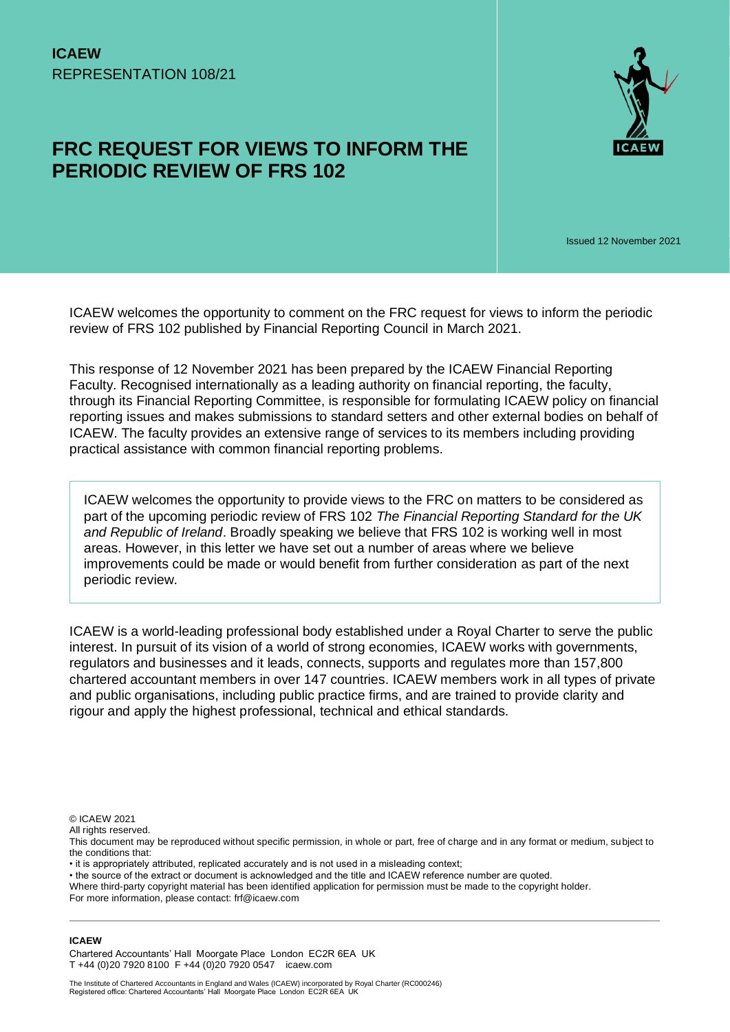# **FRC REQUEST FOR VIEWS TO INFORM THE PERIODIC REVIEW OF FRS 102**



Issued 12 November 2021

ICAEW welcomes the opportunity to comment on the FRC request for views to inform the periodic review of FRS 102 published by Financial Reporting Council in March 2021.

This response of 12 November 2021 has been prepared by the ICAEW Financial Reporting Faculty. Recognised internationally as a leading authority on financial reporting, the faculty, through its Financial Reporting Committee, is responsible for formulating ICAEW policy on financial reporting issues and makes submissions to standard setters and other external bodies on behalf of ICAEW. The faculty provides an extensive range of services to its members including providing practical assistance with common financial reporting problems.

ICAEW welcomes the opportunity to provide views to the FRC on matters to be considered as part of the upcoming periodic review of FRS 102 *The Financial Reporting Standard for the UK and Republic of Ireland*. Broadly speaking we believe that FRS 102 is working well in most areas. However, in this letter we have set out a number of areas where we believe improvements could be made or would benefit from further consideration as part of the next periodic review.

ICAEW is a world-leading professional body established under a Royal Charter to serve the public interest. In pursuit of its vision of a world of strong economies, ICAEW works with governments, regulators and businesses and it leads, connects, supports and regulates more than 157,800 chartered accountant members in over 147 countries. ICAEW members work in all types of private and public organisations, including public practice firms, and are trained to provide clarity and rigour and apply the highest professional, technical and ethical standards.

© ICAEW 2021

All rights reserved.

This document may be reproduced without specific permission, in whole or part, free of charge and in any format or medium, subject to the conditions that:

• it is appropriately attributed, replicated accurately and is not used in a misleading context;

• the source of the extract or document is acknowledged and the title and ICAEW reference number are quoted.

Where third-party copyright material has been identified application for permission must be made to the copyright holder. For more information, please contact: frf@icaew.com

#### **ICAEW**

Chartered Accountants' Hall Moorgate Place London EC2R 6EA UK T +44 (0)20 7920 8100 F +44 (0)20 7920 0547 icaew.com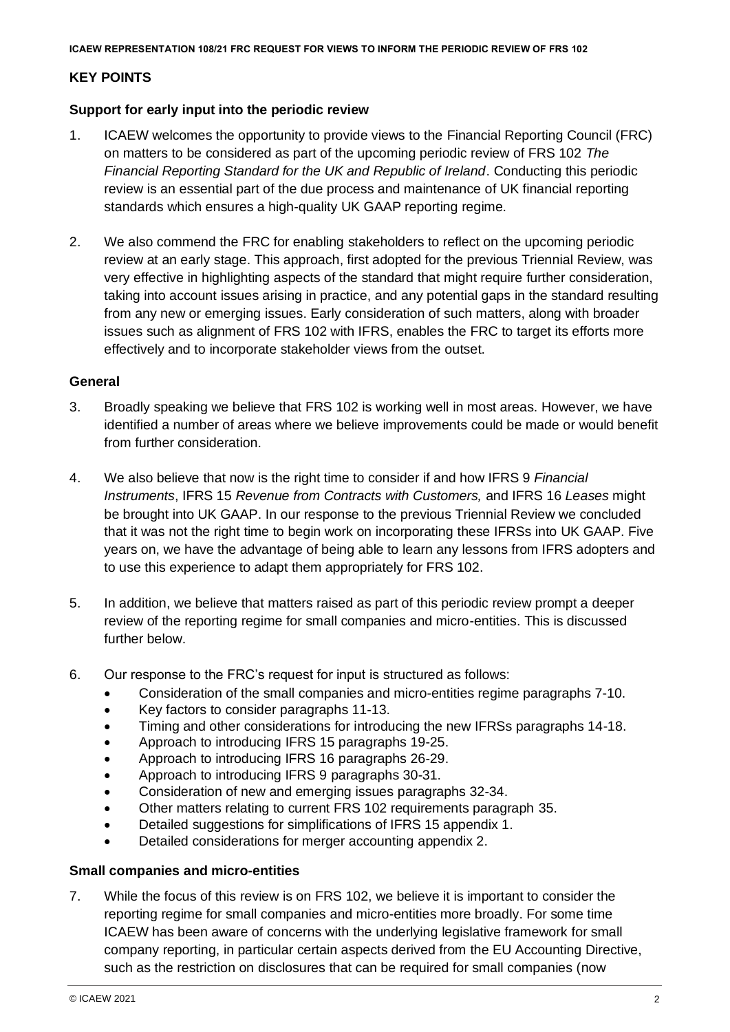# **KEY POINTS**

# **Support for early input into the periodic review**

- 1. ICAEW welcomes the opportunity to provide views to the Financial Reporting Council (FRC) on matters to be considered as part of the upcoming periodic review of FRS 102 *The Financial Reporting Standard for the UK and Republic of Ireland*. Conducting this periodic review is an essential part of the due process and maintenance of UK financial reporting standards which ensures a high-quality UK GAAP reporting regime.
- 2. We also commend the FRC for enabling stakeholders to reflect on the upcoming periodic review at an early stage. This approach, first adopted for the previous Triennial Review, was very effective in highlighting aspects of the standard that might require further consideration, taking into account issues arising in practice, and any potential gaps in the standard resulting from any new or emerging issues. Early consideration of such matters, along with broader issues such as alignment of FRS 102 with IFRS, enables the FRC to target its efforts more effectively and to incorporate stakeholder views from the outset.

# **General**

- 3. Broadly speaking we believe that FRS 102 is working well in most areas. However, we have identified a number of areas where we believe improvements could be made or would benefit from further consideration.
- 4. We also believe that now is the right time to consider if and how IFRS 9 *Financial Instruments*, IFRS 15 *Revenue from Contracts with Customers,* and IFRS 16 *Leases* might be brought into UK GAAP. In our response to the previous Triennial Review we concluded that it was not the right time to begin work on incorporating these IFRSs into UK GAAP. Five years on, we have the advantage of being able to learn any lessons from IFRS adopters and to use this experience to adapt them appropriately for FRS 102.
- 5. In addition, we believe that matters raised as part of this periodic review prompt a deeper review of the reporting regime for small companies and micro-entities. This is discussed further below.
- 6. Our response to the FRC's request for input is structured as follows:
	- Consideration of the small companies and micro-entities regime paragraphs 7-10.
	- Key factors to consider paragraphs 11-13.
	- Timing and other considerations for introducing the new IFRSs paragraphs 14-18.
	- Approach to introducing IFRS 15 paragraphs 19-25.
	- Approach to introducing IFRS 16 paragraphs 26-29.
	- Approach to introducing IFRS 9 paragraphs 30-31.
	- Consideration of new and emerging issues paragraphs 32-34.
	- Other matters relating to current FRS 102 requirements paragraph 35.
	- Detailed suggestions for simplifications of IFRS 15 appendix 1.
	- Detailed considerations for merger accounting appendix 2.

### **Small companies and micro-entities**

7. While the focus of this review is on FRS 102, we believe it is important to consider the reporting regime for small companies and micro-entities more broadly. For some time ICAEW has been aware of concerns with the underlying legislative framework for small company reporting, in particular certain aspects derived from the EU Accounting Directive, such as the restriction on disclosures that can be required for small companies (now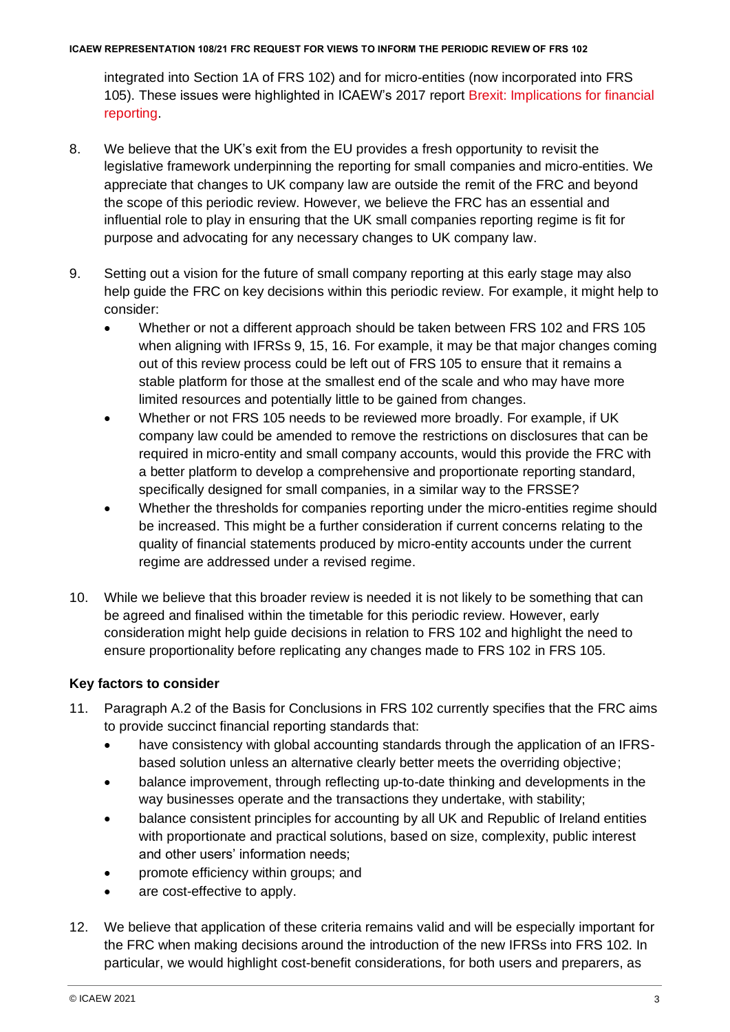integrated into Section 1A of FRS 102) and for micro-entities (now incorporated into FRS 105). These issues were highlighted in ICAEW's 2017 report [Brexit: Implications for financial](https://www.icaew.com/technical/financial-reporting/brexit-implications-for-financial-reporting)  [reporting.](https://www.icaew.com/technical/financial-reporting/brexit-implications-for-financial-reporting)

- 8. We believe that the UK's exit from the EU provides a fresh opportunity to revisit the legislative framework underpinning the reporting for small companies and micro-entities. We appreciate that changes to UK company law are outside the remit of the FRC and beyond the scope of this periodic review. However, we believe the FRC has an essential and influential role to play in ensuring that the UK small companies reporting regime is fit for purpose and advocating for any necessary changes to UK company law.
- 9. Setting out a vision for the future of small company reporting at this early stage may also help guide the FRC on key decisions within this periodic review. For example, it might help to consider:
	- Whether or not a different approach should be taken between FRS 102 and FRS 105 when aligning with IFRSs 9, 15, 16. For example, it may be that major changes coming out of this review process could be left out of FRS 105 to ensure that it remains a stable platform for those at the smallest end of the scale and who may have more limited resources and potentially little to be gained from changes.
	- Whether or not FRS 105 needs to be reviewed more broadly. For example, if UK company law could be amended to remove the restrictions on disclosures that can be required in micro-entity and small company accounts, would this provide the FRC with a better platform to develop a comprehensive and proportionate reporting standard, specifically designed for small companies, in a similar way to the FRSSE?
	- Whether the thresholds for companies reporting under the micro-entities regime should be increased. This might be a further consideration if current concerns relating to the quality of financial statements produced by micro-entity accounts under the current regime are addressed under a revised regime.
- 10. While we believe that this broader review is needed it is not likely to be something that can be agreed and finalised within the timetable for this periodic review. However, early consideration might help guide decisions in relation to FRS 102 and highlight the need to ensure proportionality before replicating any changes made to FRS 102 in FRS 105.

# **Key factors to consider**

- 11. Paragraph A.2 of the Basis for Conclusions in FRS 102 currently specifies that the FRC aims to provide succinct financial reporting standards that:
	- have consistency with global accounting standards through the application of an IFRSbased solution unless an alternative clearly better meets the overriding objective;
	- balance improvement, through reflecting up-to-date thinking and developments in the way businesses operate and the transactions they undertake, with stability;
	- balance consistent principles for accounting by all UK and Republic of Ireland entities with proportionate and practical solutions, based on size, complexity, public interest and other users' information needs;
	- promote efficiency within groups; and
	- are cost-effective to apply.
- 12. We believe that application of these criteria remains valid and will be especially important for the FRC when making decisions around the introduction of the new IFRSs into FRS 102. In particular, we would highlight cost-benefit considerations, for both users and preparers, as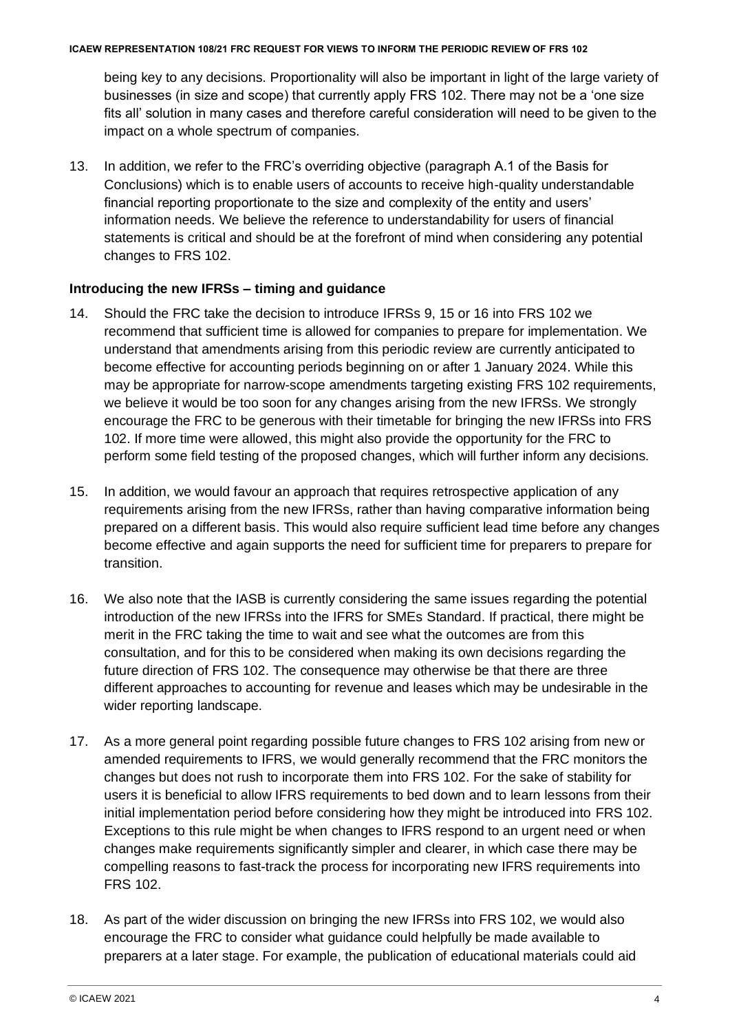being key to any decisions. Proportionality will also be important in light of the large variety of businesses (in size and scope) that currently apply FRS 102. There may not be a 'one size fits all' solution in many cases and therefore careful consideration will need to be given to the impact on a whole spectrum of companies.

13. In addition, we refer to the FRC's overriding objective (paragraph A.1 of the Basis for Conclusions) which is to enable users of accounts to receive high-quality understandable financial reporting proportionate to the size and complexity of the entity and users' information needs. We believe the reference to understandability for users of financial statements is critical and should be at the forefront of mind when considering any potential changes to FRS 102.

# **Introducing the new IFRSs – timing and guidance**

- 14. Should the FRC take the decision to introduce IFRSs 9, 15 or 16 into FRS 102 we recommend that sufficient time is allowed for companies to prepare for implementation. We understand that amendments arising from this periodic review are currently anticipated to become effective for accounting periods beginning on or after 1 January 2024. While this may be appropriate for narrow-scope amendments targeting existing FRS 102 requirements, we believe it would be too soon for any changes arising from the new IFRSs. We strongly encourage the FRC to be generous with their timetable for bringing the new IFRSs into FRS 102. If more time were allowed, this might also provide the opportunity for the FRC to perform some field testing of the proposed changes, which will further inform any decisions.
- 15. In addition, we would favour an approach that requires retrospective application of any requirements arising from the new IFRSs, rather than having comparative information being prepared on a different basis. This would also require sufficient lead time before any changes become effective and again supports the need for sufficient time for preparers to prepare for transition.
- 16. We also note that the IASB is currently considering the same issues regarding the potential introduction of the new IFRSs into the IFRS for SMEs Standard. If practical, there might be merit in the FRC taking the time to wait and see what the outcomes are from this consultation, and for this to be considered when making its own decisions regarding the future direction of FRS 102. The consequence may otherwise be that there are three different approaches to accounting for revenue and leases which may be undesirable in the wider reporting landscape.
- 17. As a more general point regarding possible future changes to FRS 102 arising from new or amended requirements to IFRS, we would generally recommend that the FRC monitors the changes but does not rush to incorporate them into FRS 102. For the sake of stability for users it is beneficial to allow IFRS requirements to bed down and to learn lessons from their initial implementation period before considering how they might be introduced into FRS 102. Exceptions to this rule might be when changes to IFRS respond to an urgent need or when changes make requirements significantly simpler and clearer, in which case there may be compelling reasons to fast-track the process for incorporating new IFRS requirements into FRS 102.
- 18. As part of the wider discussion on bringing the new IFRSs into FRS 102, we would also encourage the FRC to consider what guidance could helpfully be made available to preparers at a later stage. For example, the publication of educational materials could aid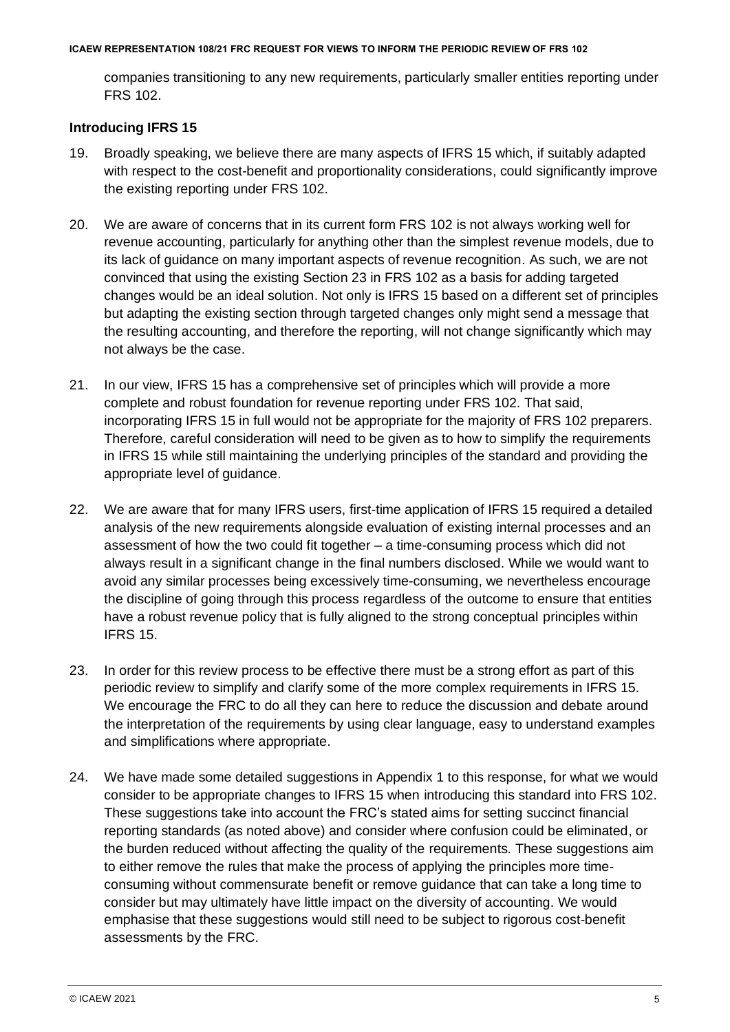companies transitioning to any new requirements, particularly smaller entities reporting under FRS 102.

# **Introducing IFRS 15**

- 19. Broadly speaking, we believe there are many aspects of IFRS 15 which, if suitably adapted with respect to the cost-benefit and proportionality considerations, could significantly improve the existing reporting under FRS 102.
- 20. We are aware of concerns that in its current form FRS 102 is not always working well for revenue accounting, particularly for anything other than the simplest revenue models, due to its lack of guidance on many important aspects of revenue recognition. As such, we are not convinced that using the existing Section 23 in FRS 102 as a basis for adding targeted changes would be an ideal solution. Not only is IFRS 15 based on a different set of principles but adapting the existing section through targeted changes only might send a message that the resulting accounting, and therefore the reporting, will not change significantly which may not always be the case.
- 21. In our view, IFRS 15 has a comprehensive set of principles which will provide a more complete and robust foundation for revenue reporting under FRS 102. That said, incorporating IFRS 15 in full would not be appropriate for the majority of FRS 102 preparers. Therefore, careful consideration will need to be given as to how to simplify the requirements in IFRS 15 while still maintaining the underlying principles of the standard and providing the appropriate level of guidance.
- 22. We are aware that for many IFRS users, first-time application of IFRS 15 required a detailed analysis of the new requirements alongside evaluation of existing internal processes and an assessment of how the two could fit together – a time-consuming process which did not always result in a significant change in the final numbers disclosed. While we would want to avoid any similar processes being excessively time-consuming, we nevertheless encourage the discipline of going through this process regardless of the outcome to ensure that entities have a robust revenue policy that is fully aligned to the strong conceptual principles within IFRS 15.
- 23. In order for this review process to be effective there must be a strong effort as part of this periodic review to simplify and clarify some of the more complex requirements in IFRS 15. We encourage the FRC to do all they can here to reduce the discussion and debate around the interpretation of the requirements by using clear language, easy to understand examples and simplifications where appropriate.
- 24. We have made some detailed suggestions in Appendix 1 to this response, for what we would consider to be appropriate changes to IFRS 15 when introducing this standard into FRS 102. These suggestions take into account the FRC's stated aims for setting succinct financial reporting standards (as noted above) and consider where confusion could be eliminated, or the burden reduced without affecting the quality of the requirements. These suggestions aim to either remove the rules that make the process of applying the principles more timeconsuming without commensurate benefit or remove guidance that can take a long time to consider but may ultimately have little impact on the diversity of accounting. We would emphasise that these suggestions would still need to be subject to rigorous cost-benefit assessments by the FRC.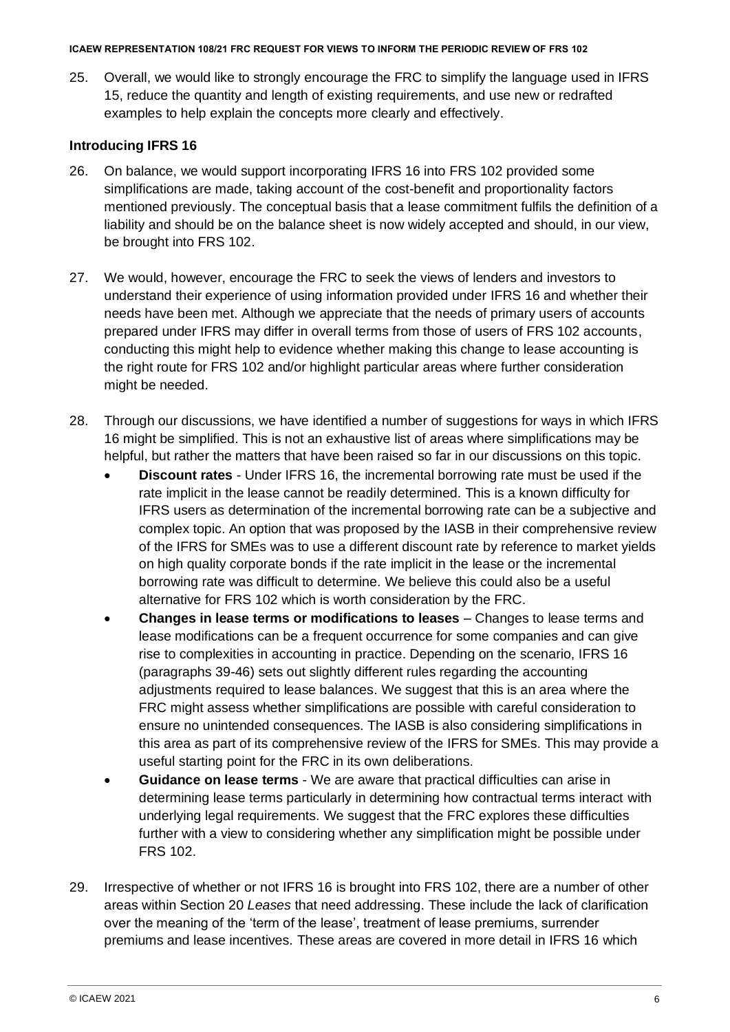25. Overall, we would like to strongly encourage the FRC to simplify the language used in IFRS 15, reduce the quantity and length of existing requirements, and use new or redrafted examples to help explain the concepts more clearly and effectively.

# **Introducing IFRS 16**

- 26. On balance, we would support incorporating IFRS 16 into FRS 102 provided some simplifications are made, taking account of the cost-benefit and proportionality factors mentioned previously. The conceptual basis that a lease commitment fulfils the definition of a liability and should be on the balance sheet is now widely accepted and should, in our view, be brought into FRS 102.
- 27. We would, however, encourage the FRC to seek the views of lenders and investors to understand their experience of using information provided under IFRS 16 and whether their needs have been met. Although we appreciate that the needs of primary users of accounts prepared under IFRS may differ in overall terms from those of users of FRS 102 accounts, conducting this might help to evidence whether making this change to lease accounting is the right route for FRS 102 and/or highlight particular areas where further consideration might be needed.
- 28. Through our discussions, we have identified a number of suggestions for ways in which IFRS 16 might be simplified. This is not an exhaustive list of areas where simplifications may be helpful, but rather the matters that have been raised so far in our discussions on this topic.
	- **Discount rates**  Under IFRS 16, the incremental borrowing rate must be used if the rate implicit in the lease cannot be readily determined. This is a known difficulty for IFRS users as determination of the incremental borrowing rate can be a subjective and complex topic. An option that was proposed by the IASB in their comprehensive review of the IFRS for SMEs was to use a different discount rate by reference to market yields on high quality corporate bonds if the rate implicit in the lease or the incremental borrowing rate was difficult to determine. We believe this could also be a useful alternative for FRS 102 which is worth consideration by the FRC.
	- **Changes in lease terms or modifications to leases** Changes to lease terms and lease modifications can be a frequent occurrence for some companies and can give rise to complexities in accounting in practice. Depending on the scenario, IFRS 16 (paragraphs 39-46) sets out slightly different rules regarding the accounting adjustments required to lease balances. We suggest that this is an area where the FRC might assess whether simplifications are possible with careful consideration to ensure no unintended consequences. The IASB is also considering simplifications in this area as part of its comprehensive review of the IFRS for SMEs. This may provide a useful starting point for the FRC in its own deliberations.
	- **Guidance on lease terms** We are aware that practical difficulties can arise in determining lease terms particularly in determining how contractual terms interact with underlying legal requirements. We suggest that the FRC explores these difficulties further with a view to considering whether any simplification might be possible under FRS 102.
- 29. Irrespective of whether or not IFRS 16 is brought into FRS 102, there are a number of other areas within Section 20 *Leases* that need addressing. These include the lack of clarification over the meaning of the 'term of the lease', treatment of lease premiums, surrender premiums and lease incentives. These areas are covered in more detail in IFRS 16 which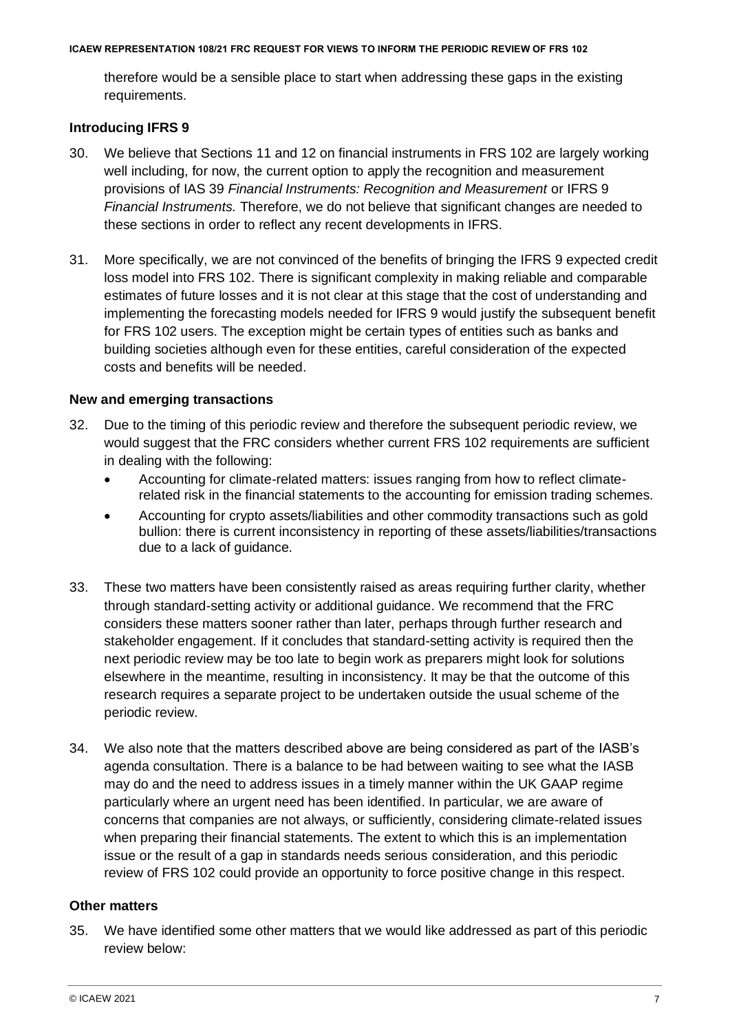therefore would be a sensible place to start when addressing these gaps in the existing requirements.

# **Introducing IFRS 9**

- 30. We believe that Sections 11 and 12 on financial instruments in FRS 102 are largely working well including, for now, the current option to apply the recognition and measurement provisions of IAS 39 *Financial Instruments: Recognition and Measurement* or IFRS 9 *Financial Instruments.* Therefore, we do not believe that significant changes are needed to these sections in order to reflect any recent developments in IFRS.
- 31. More specifically, we are not convinced of the benefits of bringing the IFRS 9 expected credit loss model into FRS 102. There is significant complexity in making reliable and comparable estimates of future losses and it is not clear at this stage that the cost of understanding and implementing the forecasting models needed for IFRS 9 would justify the subsequent benefit for FRS 102 users. The exception might be certain types of entities such as banks and building societies although even for these entities, careful consideration of the expected costs and benefits will be needed.

# **New and emerging transactions**

- 32. Due to the timing of this periodic review and therefore the subsequent periodic review, we would suggest that the FRC considers whether current FRS 102 requirements are sufficient in dealing with the following:
	- Accounting for climate-related matters: issues ranging from how to reflect climaterelated risk in the financial statements to the accounting for emission trading schemes.
	- Accounting for crypto assets/liabilities and other commodity transactions such as gold bullion: there is current inconsistency in reporting of these assets/liabilities/transactions due to a lack of guidance.
- 33. These two matters have been consistently raised as areas requiring further clarity, whether through standard-setting activity or additional guidance. We recommend that the FRC considers these matters sooner rather than later, perhaps through further research and stakeholder engagement. If it concludes that standard-setting activity is required then the next periodic review may be too late to begin work as preparers might look for solutions elsewhere in the meantime, resulting in inconsistency. It may be that the outcome of this research requires a separate project to be undertaken outside the usual scheme of the periodic review.
- 34. We also note that the matters described above are being considered as part of the IASB's agenda consultation. There is a balance to be had between waiting to see what the IASB may do and the need to address issues in a timely manner within the UK GAAP regime particularly where an urgent need has been identified. In particular, we are aware of concerns that companies are not always, or sufficiently, considering climate-related issues when preparing their financial statements. The extent to which this is an implementation issue or the result of a gap in standards needs serious consideration, and this periodic review of FRS 102 could provide an opportunity to force positive change in this respect.

# **Other matters**

35. We have identified some other matters that we would like addressed as part of this periodic review below: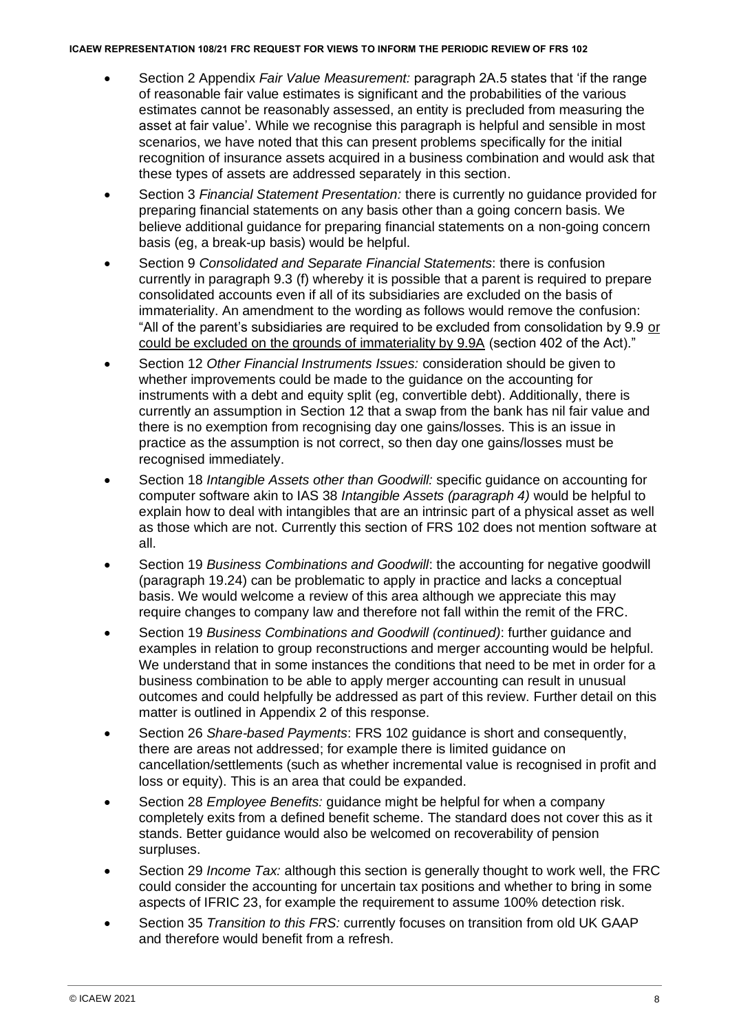- Section 2 Appendix *Fair Value Measurement:* paragraph 2A.5 states that 'if the range of reasonable fair value estimates is significant and the probabilities of the various estimates cannot be reasonably assessed, an entity is precluded from measuring the asset at fair value'. While we recognise this paragraph is helpful and sensible in most scenarios, we have noted that this can present problems specifically for the initial recognition of insurance assets acquired in a business combination and would ask that these types of assets are addressed separately in this section.
- Section 3 *Financial Statement Presentation:* there is currently no guidance provided for preparing financial statements on any basis other than a going concern basis. We believe additional guidance for preparing financial statements on a non-going concern basis (eg, a break-up basis) would be helpful.
- Section 9 *Consolidated and Separate Financial Statements*: there is confusion currently in paragraph 9.3 (f) whereby it is possible that a parent is required to prepare consolidated accounts even if all of its subsidiaries are excluded on the basis of immateriality. An amendment to the wording as follows would remove the confusion: "All of the parent's subsidiaries are required to be excluded from consolidation by 9.9 or could be excluded on the grounds of immateriality by 9.9A (section 402 of the Act)."
- Section 12 *Other Financial Instruments Issues:* consideration should be given to whether improvements could be made to the guidance on the accounting for instruments with a debt and equity split (eg, convertible debt). Additionally, there is currently an assumption in Section 12 that a swap from the bank has nil fair value and there is no exemption from recognising day one gains/losses. This is an issue in practice as the assumption is not correct, so then day one gains/losses must be recognised immediately.
- Section 18 *Intangible Assets other than Goodwill:* specific guidance on accounting for computer software akin to IAS 38 *Intangible Assets (paragraph 4)* would be helpful to explain how to deal with intangibles that are an intrinsic part of a physical asset as well as those which are not. Currently this section of FRS 102 does not mention software at all.
- Section 19 *Business Combinations and Goodwill*: the accounting for negative goodwill (paragraph 19.24) can be problematic to apply in practice and lacks a conceptual basis. We would welcome a review of this area although we appreciate this may require changes to company law and therefore not fall within the remit of the FRC.
- Section 19 *Business Combinations and Goodwill (continued)*: further guidance and examples in relation to group reconstructions and merger accounting would be helpful. We understand that in some instances the conditions that need to be met in order for a business combination to be able to apply merger accounting can result in unusual outcomes and could helpfully be addressed as part of this review. Further detail on this matter is outlined in Appendix 2 of this response.
- Section 26 *Share-based Payments*: FRS 102 guidance is short and consequently, there are areas not addressed; for example there is limited guidance on cancellation/settlements (such as whether incremental value is recognised in profit and loss or equity). This is an area that could be expanded.
- Section 28 *Employee Benefits:* guidance might be helpful for when a company completely exits from a defined benefit scheme. The standard does not cover this as it stands. Better guidance would also be welcomed on recoverability of pension surpluses.
- Section 29 *Income Tax:* although this section is generally thought to work well, the FRC could consider the accounting for uncertain tax positions and whether to bring in some aspects of IFRIC 23, for example the requirement to assume 100% detection risk.
- Section 35 *Transition to this FRS:* currently focuses on transition from old UK GAAP and therefore would benefit from a refresh.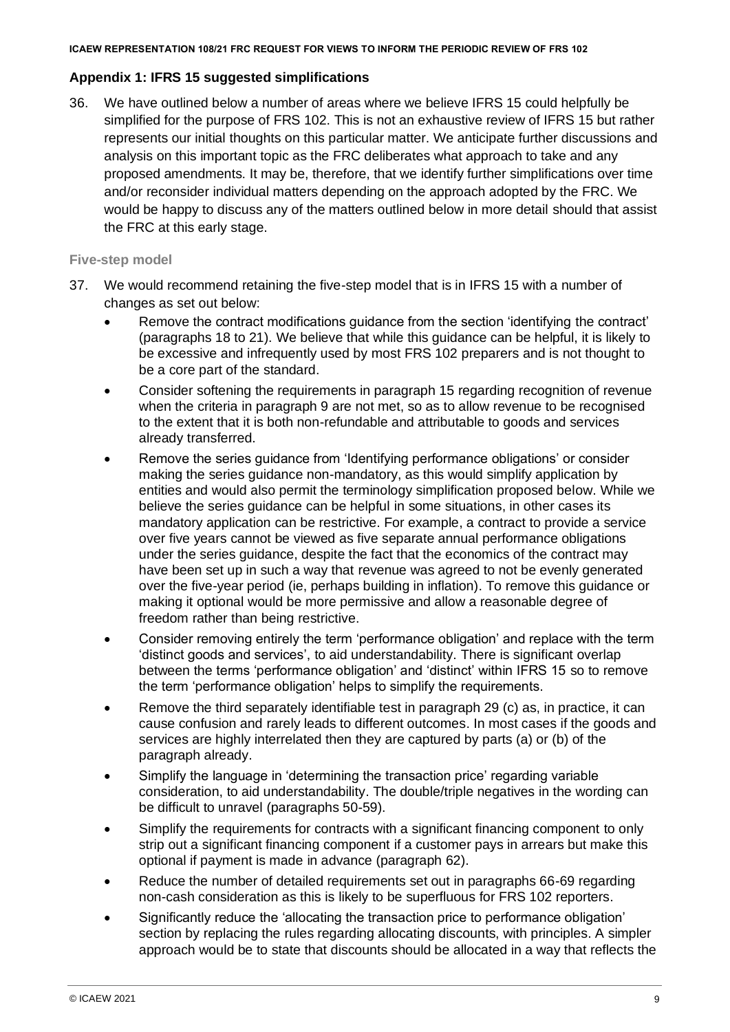# **Appendix 1: IFRS 15 suggested simplifications**

36. We have outlined below a number of areas where we believe IFRS 15 could helpfully be simplified for the purpose of FRS 102. This is not an exhaustive review of IFRS 15 but rather represents our initial thoughts on this particular matter. We anticipate further discussions and analysis on this important topic as the FRC deliberates what approach to take and any proposed amendments. It may be, therefore, that we identify further simplifications over time and/or reconsider individual matters depending on the approach adopted by the FRC. We would be happy to discuss any of the matters outlined below in more detail should that assist the FRC at this early stage.

# **Five-step model**

- 37. We would recommend retaining the five-step model that is in IFRS 15 with a number of changes as set out below:
	- Remove the contract modifications guidance from the section 'identifying the contract' (paragraphs 18 to 21). We believe that while this guidance can be helpful, it is likely to be excessive and infrequently used by most FRS 102 preparers and is not thought to be a core part of the standard.
	- Consider softening the requirements in paragraph 15 regarding recognition of revenue when the criteria in paragraph 9 are not met, so as to allow revenue to be recognised to the extent that it is both non-refundable and attributable to goods and services already transferred.
	- Remove the series guidance from 'Identifying performance obligations' or consider making the series guidance non-mandatory, as this would simplify application by entities and would also permit the terminology simplification proposed below. While we believe the series guidance can be helpful in some situations, in other cases its mandatory application can be restrictive. For example, a contract to provide a service over five years cannot be viewed as five separate annual performance obligations under the series guidance, despite the fact that the economics of the contract may have been set up in such a way that revenue was agreed to not be evenly generated over the five-year period (ie, perhaps building in inflation). To remove this guidance or making it optional would be more permissive and allow a reasonable degree of freedom rather than being restrictive.
	- Consider removing entirely the term 'performance obligation' and replace with the term 'distinct goods and services', to aid understandability. There is significant overlap between the terms 'performance obligation' and 'distinct' within IFRS 15 so to remove the term 'performance obligation' helps to simplify the requirements.
	- Remove the third separately identifiable test in paragraph 29 (c) as, in practice, it can cause confusion and rarely leads to different outcomes. In most cases if the goods and services are highly interrelated then they are captured by parts (a) or (b) of the paragraph already.
	- Simplify the language in 'determining the transaction price' regarding variable consideration, to aid understandability. The double/triple negatives in the wording can be difficult to unravel (paragraphs 50-59).
	- Simplify the requirements for contracts with a significant financing component to only strip out a significant financing component if a customer pays in arrears but make this optional if payment is made in advance (paragraph 62).
	- Reduce the number of detailed requirements set out in paragraphs 66-69 regarding non-cash consideration as this is likely to be superfluous for FRS 102 reporters.
	- Significantly reduce the 'allocating the transaction price to performance obligation' section by replacing the rules regarding allocating discounts, with principles. A simpler approach would be to state that discounts should be allocated in a way that reflects the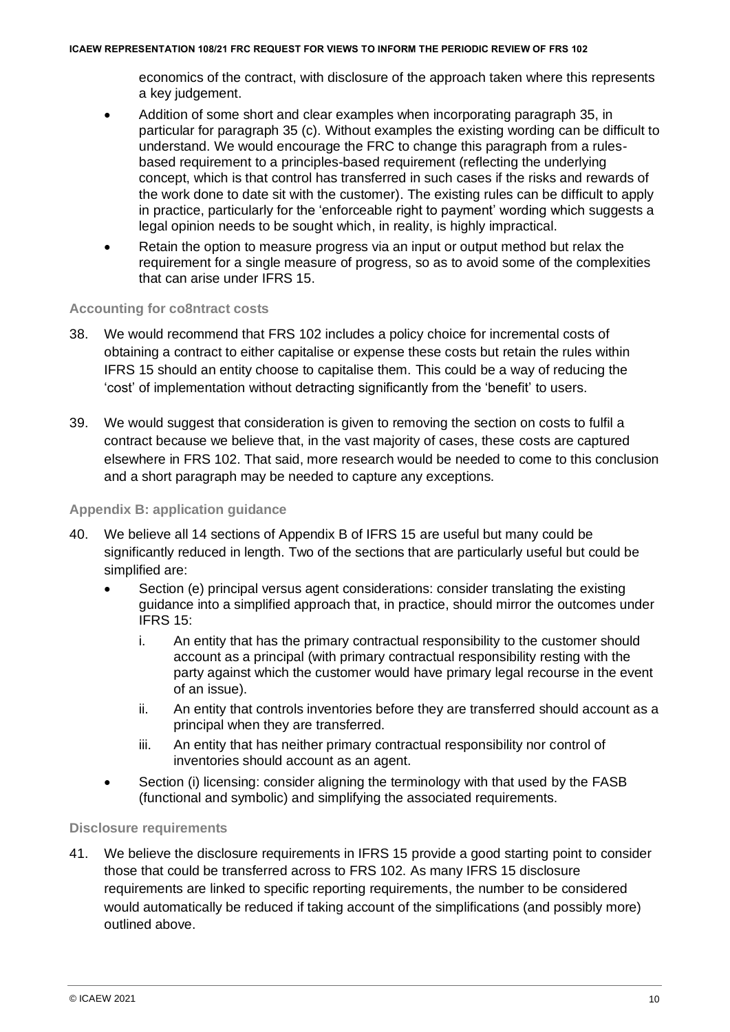economics of the contract, with disclosure of the approach taken where this represents a key judgement.

- Addition of some short and clear examples when incorporating paragraph 35, in particular for paragraph 35 (c). Without examples the existing wording can be difficult to understand. We would encourage the FRC to change this paragraph from a rulesbased requirement to a principles-based requirement (reflecting the underlying concept, which is that control has transferred in such cases if the risks and rewards of the work done to date sit with the customer). The existing rules can be difficult to apply in practice, particularly for the 'enforceable right to payment' wording which suggests a legal opinion needs to be sought which, in reality, is highly impractical.
- Retain the option to measure progress via an input or output method but relax the requirement for a single measure of progress, so as to avoid some of the complexities that can arise under IFRS 15.

# **Accounting for co8ntract costs**

- 38. We would recommend that FRS 102 includes a policy choice for incremental costs of obtaining a contract to either capitalise or expense these costs but retain the rules within IFRS 15 should an entity choose to capitalise them. This could be a way of reducing the 'cost' of implementation without detracting significantly from the 'benefit' to users.
- 39. We would suggest that consideration is given to removing the section on costs to fulfil a contract because we believe that, in the vast majority of cases, these costs are captured elsewhere in FRS 102. That said, more research would be needed to come to this conclusion and a short paragraph may be needed to capture any exceptions.

# **Appendix B: application guidance**

- 40. We believe all 14 sections of Appendix B of IFRS 15 are useful but many could be significantly reduced in length. Two of the sections that are particularly useful but could be simplified are:
	- Section (e) principal versus agent considerations: consider translating the existing guidance into a simplified approach that, in practice, should mirror the outcomes under IFRS 15:
		- i. An entity that has the primary contractual responsibility to the customer should account as a principal (with primary contractual responsibility resting with the party against which the customer would have primary legal recourse in the event of an issue).
		- ii. An entity that controls inventories before they are transferred should account as a principal when they are transferred.
		- iii. An entity that has neither primary contractual responsibility nor control of inventories should account as an agent.
	- Section (i) licensing: consider aligning the terminology with that used by the FASB (functional and symbolic) and simplifying the associated requirements.

### **Disclosure requirements**

41. We believe the disclosure requirements in IFRS 15 provide a good starting point to consider those that could be transferred across to FRS 102. As many IFRS 15 disclosure requirements are linked to specific reporting requirements, the number to be considered would automatically be reduced if taking account of the simplifications (and possibly more) outlined above.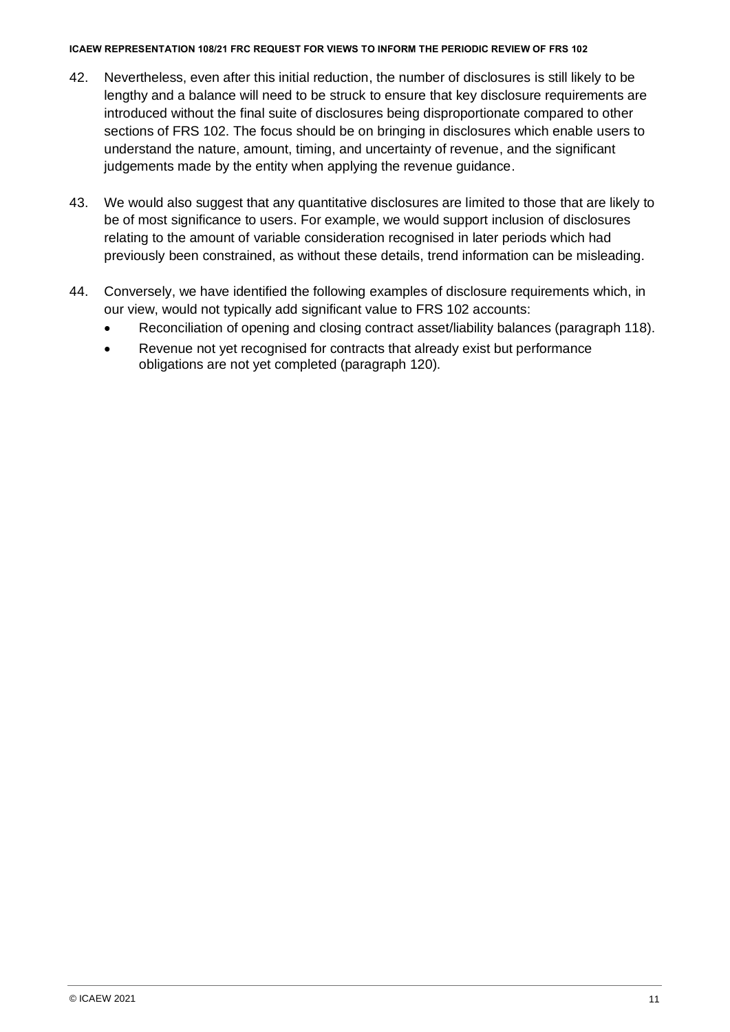- 42. Nevertheless, even after this initial reduction, the number of disclosures is still likely to be lengthy and a balance will need to be struck to ensure that key disclosure requirements are introduced without the final suite of disclosures being disproportionate compared to other sections of FRS 102. The focus should be on bringing in disclosures which enable users to understand the nature, amount, timing, and uncertainty of revenue, and the significant judgements made by the entity when applying the revenue guidance.
- 43. We would also suggest that any quantitative disclosures are limited to those that are likely to be of most significance to users. For example, we would support inclusion of disclosures relating to the amount of variable consideration recognised in later periods which had previously been constrained, as without these details, trend information can be misleading.
- 44. Conversely, we have identified the following examples of disclosure requirements which, in our view, would not typically add significant value to FRS 102 accounts:
	- Reconciliation of opening and closing contract asset/liability balances (paragraph 118).
	- Revenue not yet recognised for contracts that already exist but performance obligations are not yet completed (paragraph 120).